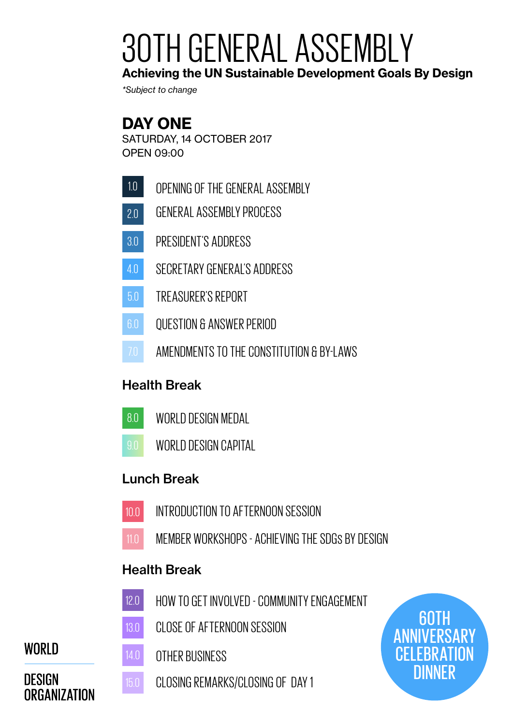# 30TH GENERAL ASSEMBLY **Achieving the UN Sustainable Development Goals By Design**

*\*Subject to change*

**DAY ONE** SATURDAY, 14 OCTOBER 2017 OPEN 09:00

- OPENING OF THE GENERAL ASSEMBLY 1.0
- GENERAL ASSEMBLY PROCESS 2.0
- PRESIDENT'S ADDRESS 3.0
- SECRETARY GENERAL'S ADDRESS 4.0
- TREASURER'S REPORT 5.0
- QUESTION & ANSWER PERIOD 6.0
- AMENDMENTS TO THE CONSTITUTION & BY-LAWS

### Health Break

- WORLD DESIGN MEDAL 8.0
- WORLD DESIGN CAPITAL

### Lunch Break

- INTRODUCTION TO AFTERNOON SESSION 10.0
- MEMBER WORKSHOPS ACHIEVING THE SDGs BY DESIGN 11.0

### Health Break

- HOW TO GET INVOLVED COMMUNITY ENGAGEMENT 12.0
- CLOSE OF AFTERNOON SESSION 13.0
- OTHER BUSINESS 14.0



**WORLD** 

- 15.0
	- CLOSING REMARKS/CLOSING OF DAY 1

60TH ANNIVERSARY **CELEBRATION DINNER**